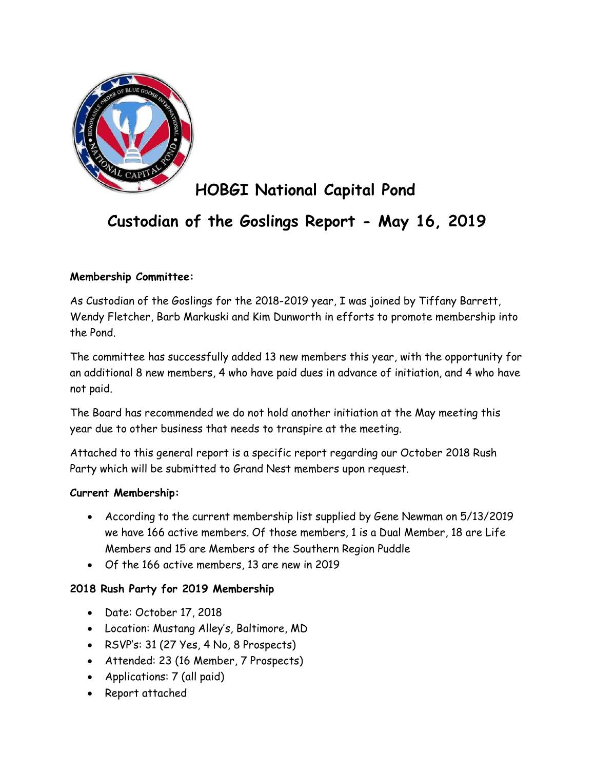

# HOBGI National Capital Pond

## Custodian of the Goslings Report - May 16, 2019

## Membership Committee:

As Custodian of the Goslings for the 2018-2019 year, I was joined by Tiffany Barrett, Wendy Fletcher, Barb Markuski and Kim Dunworth in efforts to promote membership into the Pond.

The committee has successfully added 13 new members this year, with the opportunity for an additional 8 new members, 4 who have paid dues in advance of initiation, and 4 who have not paid.

The Board has recommended we do not hold another initiation at the May meeting this year due to other business that needs to transpire at the meeting.

Attached to this general report is a specific report regarding our October 2018 Rush Party which will be submitted to Grand Nest members upon request.

#### Current Membership:

- According to the current membership list supplied by Gene Newman on 5/13/2019 we have 166 active members. Of those members, 1 is a Dual Member, 18 are Life Members and 15 are Members of the Southern Region Puddle
- Of the 166 active members, 13 are new in 2019

#### 2018 Rush Party for 2019 Membership

- Date: October 17, 2018
- Location: Mustang Alley's, Baltimore, MD
- RSVP's: 31 (27 Yes, 4 No, 8 Prospects)
- Attended: 23 (16 Member, 7 Prospects)
- Applications: 7 (all paid)
- Report attached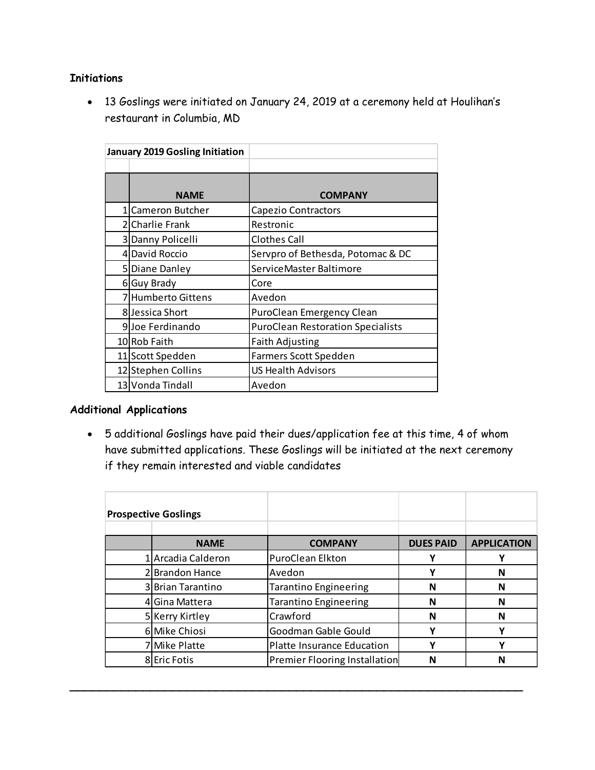## **Initiations**

| ions |                                 |                                                                                    |
|------|---------------------------------|------------------------------------------------------------------------------------|
|      |                                 |                                                                                    |
|      |                                 | 13 Goslings were initiated on January 24, 2019 at a ceremony held at Houlihan's    |
|      | restaurant in Columbia, MD      |                                                                                    |
|      |                                 |                                                                                    |
|      | January 2019 Gosling Initiation |                                                                                    |
|      |                                 |                                                                                    |
|      |                                 |                                                                                    |
|      | <b>NAME</b>                     | <b>COMPANY</b>                                                                     |
|      | 1 Cameron Butcher               | Capezio Contractors                                                                |
|      | 2 Charlie Frank                 | Restronic                                                                          |
|      | 3 Danny Policelli               | <b>Clothes Call</b>                                                                |
|      | 4 David Roccio                  | Servpro of Bethesda, Potomac & DC                                                  |
|      | 5 Diane Danley                  | ServiceMaster Baltimore                                                            |
|      | 6 Guy Brady                     | Core                                                                               |
|      | 7 Humberto Gittens              | Avedon                                                                             |
|      | 8 Jessica Short                 | PuroClean Emergency Clean                                                          |
|      | 9Joe Ferdinando                 | <b>PuroClean Restoration Specialists</b>                                           |
|      | 10 Rob Faith                    | <b>Faith Adjusting</b>                                                             |
|      | 11 Scott Spedden                | Farmers Scott Spedden                                                              |
|      | 12 Stephen Collins              | <b>US Health Advisors</b>                                                          |
|      | 13 Vonda Tindall                | Avedon                                                                             |
|      |                                 |                                                                                    |
|      | nal Applications                |                                                                                    |
|      |                                 |                                                                                    |
|      |                                 | 5 additional Goslings have paid their dues/application fee at this time, 4 of whom |
|      |                                 | have submitted applications. These Goslings will be initiated at the next ceremony |

## Additional Applications

| THUITING TO OITIGHT         |                                                                                                                                       |                           |                    |
|-----------------------------|---------------------------------------------------------------------------------------------------------------------------------------|---------------------------|--------------------|
| 8Jessica Short              | PuroClean Emergency Clean                                                                                                             |                           |                    |
| 9Joe Ferdinando             | <b>PuroClean Restoration Specialists</b>                                                                                              |                           |                    |
| 10 Rob Faith                | <b>Faith Adjusting</b>                                                                                                                |                           |                    |
| 11 Scott Spedden            | Farmers Scott Spedden                                                                                                                 |                           |                    |
| 12 Stephen Collins          | US Health Advisors                                                                                                                    |                           |                    |
| 13 Vonda Tindall            | Avedon                                                                                                                                |                           |                    |
|                             | have submitted applications. These Goslings will be initiated at the next ceremony<br>if they remain interested and viable candidates |                           |                    |
|                             |                                                                                                                                       |                           |                    |
| <b>Prospective Goslings</b> |                                                                                                                                       |                           |                    |
| <b>NAME</b>                 | <b>COMPANY</b>                                                                                                                        | <b>DUES PAID</b>          | <b>APPLICATION</b> |
| 1 Arcadia Calderon          | PuroClean Elkton                                                                                                                      | Y                         | Y                  |
| 2 Brandon Hance             | Avedon                                                                                                                                | Y                         | N                  |
| 3 Brian Tarantino           | Tarantino Engineering                                                                                                                 | $\boldsymbol{\mathsf{N}}$ | N                  |
| 4 Gina Mattera              | Tarantino Engineering                                                                                                                 | N                         | N                  |
| 5 Kerry Kirtley             | Crawford                                                                                                                              | $\mathsf{N}$              | $\mathsf{N}$       |
| 6 Mike Chiosi               | Goodman Gable Gould                                                                                                                   | Υ                         | Y                  |
| 7 Mike Platte               | Platte Insurance Education                                                                                                            | Y                         | Y                  |

\_\_\_\_\_\_\_\_\_\_\_\_\_\_\_\_\_\_\_\_\_\_\_\_\_\_\_\_\_\_\_\_\_\_\_\_\_\_\_\_\_\_\_\_\_\_\_\_\_\_\_\_\_\_\_\_\_\_\_\_\_\_